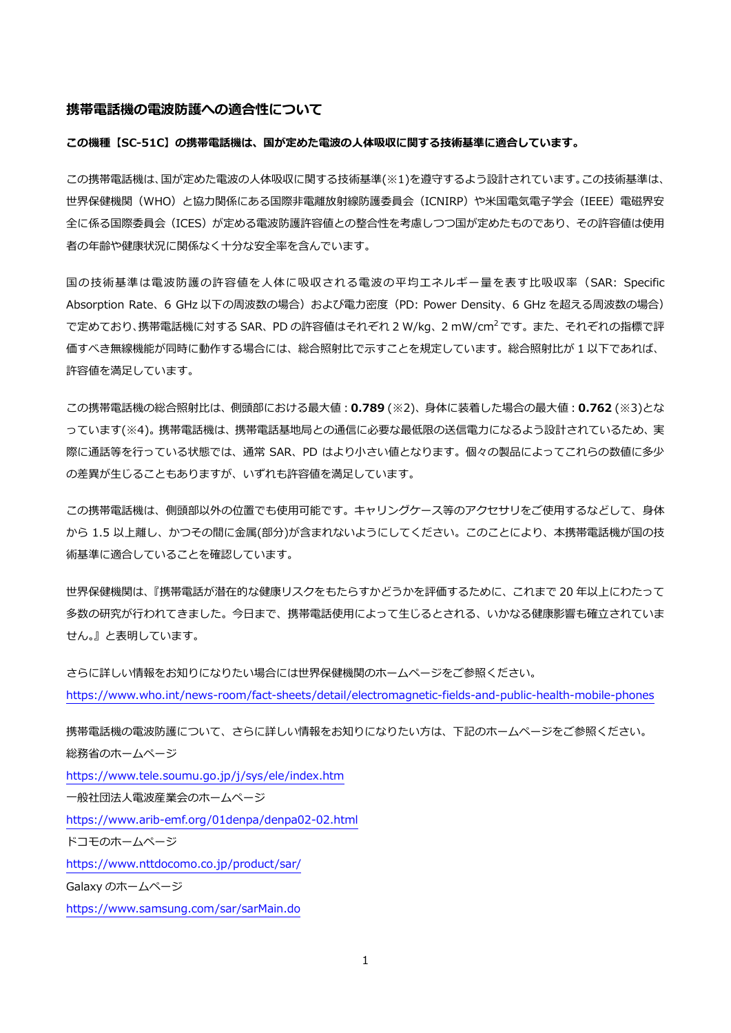#### **携帯電話機の電波防護への適合性について**

#### **この機種【SC-51C】の携帯電話機は、国が定めた電波の人体吸収に関する技術基準に適合しています。**

この携帯電話機は、国が定めた電波の人体吸収に関する技術基準(※1)を遵守するよう設計されています。この技術基準は、 世界保健機関(WHO)と協力関係にある国際非電離放射線防護委員会(ICNIRP)や米国電気電子学会(IEEE)電磁界安 全に係る国際委員会(ICES)が定める電波防護許容値との整合性を考慮しつつ国が定めたものであり、その許容値は使用 者の年齢や健康状況に関係なく十分な安全率を含んでいます。

国の技術基準は電波防護の許容値を人体に吸収される電波の平均エネルギー量を表す比吸収率(SAR: Specific Absorption Rate、6 GHz 以下の周波数の場合)および電力密度 (PD: Power Density、6 GHz を超える周波数の場合) で定めており、携帯電話機に対する SAR、PD の許容値はそれぞれ 2 W/kg、2 mW/cm<sup>2</sup> です。 また、 それぞれの指標で評 価すべき無線機能が同時に動作する場合には、総合照射比で示すことを規定しています。総合照射比が 1 以下であれば、 許容値を満足しています。

この携帯電話機の総合照射比は、側頭部における最大値:**0.789** (※2)、身体に装着した場合の最大値:**0.762** (※3)とな っています(※4)。携帯電話機は、携帯電話基地局との通信に必要な最低限の送信電力になるよう設計されているため、実 際に通話等を行っている状態では、通常 SAR、PD はより小さい値となります。個々の製品によってこれらの数値に多少 の差異が生じることもありますが、いずれも許容値を満足しています。

この携帯電話機は、側頭部以外の位置でも使用可能です。キャリングケース等のアクセサリをご使用するなどして、身体 から 1.5 以上離し、かつその間に金属(部分)が含まれないようにしてください。このことにより、本携帯電話機が国の技 術基準に適合していることを確認しています。

世界保健機関は、『携帯電話が潜在的な健康リスクをもたらすかどうかを評価するために、これまで 20 年以上にわたって 多数の研究が行われてきました。今日まで、携帯電話使用によって生じるとされる、いかなる健康影響も確立されていま せん。』と表明しています。

```
さらに詳しい情報をお知りになりたい場合には世界保健機関のホームページをご参照ください。
https://www.who.int/news-room/fact-sheets/detail/electromagnetic-fields-and-public-health-mobile-phones
```
携帯電話機の電波防護について、さらに詳しい情報をお知りになりたい方は、下記のホームページをご参照ください。 総務省のホームページ <https://www.tele.soumu.go.jp/j/sys/ele/index.htm> 一般社団法人電波産業会のホームページ <https://www.arib-emf.org/01denpa/denpa02-02.html> ドコモのホームページ <https://www.nttdocomo.co.jp/product/sar/> Galaxy のホームページ <https://www.samsung.com/sar/sarMain.do>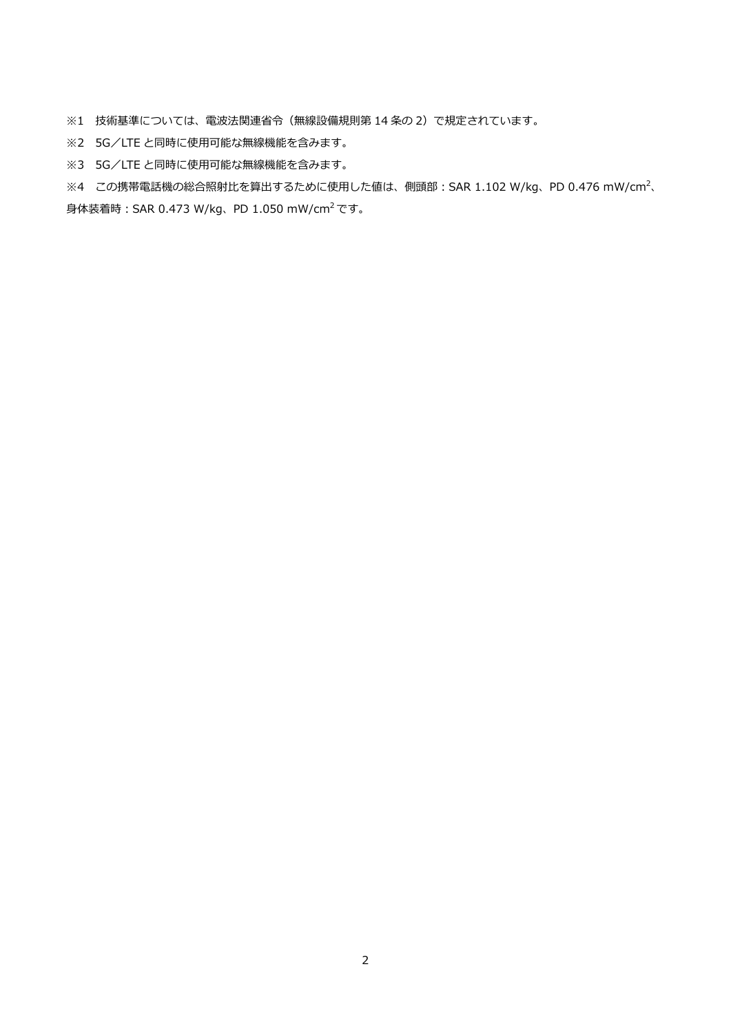※1 技術基準については、電波法関連省令(無線設備規則第 14 条の 2)で規定されています。

- ※2 5G/LTE と同時に使用可能な無線機能を含みます。
- ※3 5G/LTE と同時に使用可能な無線機能を含みます。

※4 この携帯電話機の総合照射比を算出するために使用した値は、側頭部:SAR 1.102 W/kg、PD 0.476 mW/cm<sup>2</sup>、 身体装着時:SAR 0.473 W/kg、PD 1.050 mW/cm<sup>2</sup> です。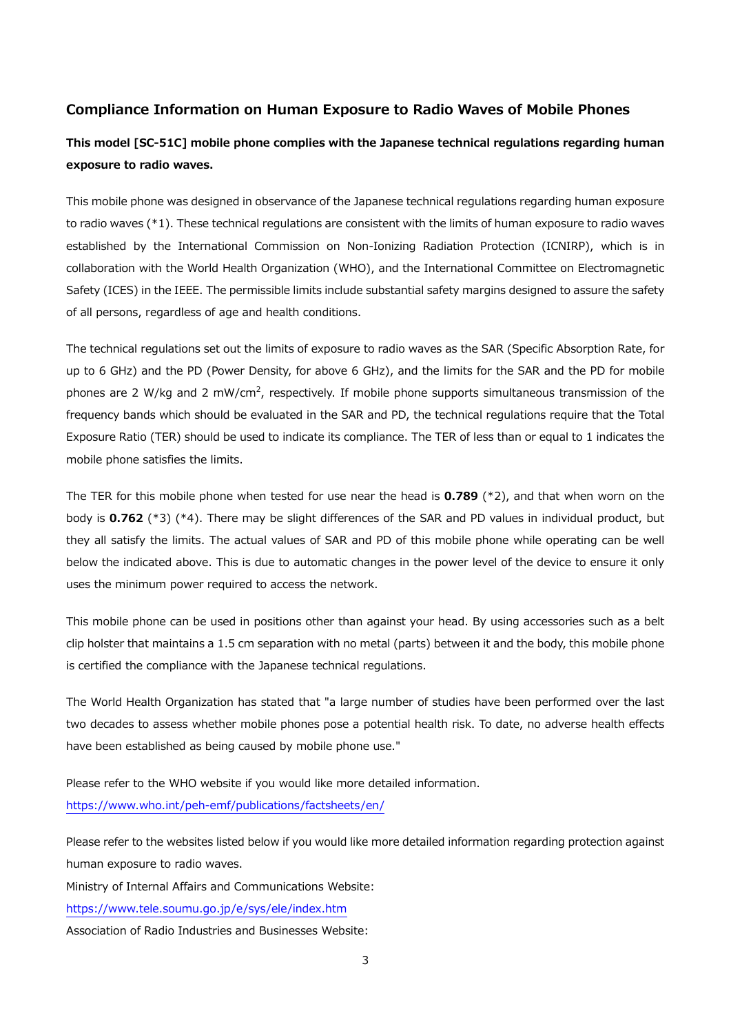## **Compliance Information on Human Exposure to Radio Waves of Mobile Phones**

# **This model [SC-51C] mobile phone complies with the Japanese technical regulations regarding human exposure to radio waves.**

This mobile phone was designed in observance of the Japanese technical regulations regarding human exposure to radio waves (\*1). These technical regulations are consistent with the limits of human exposure to radio waves established by the International Commission on Non-Ionizing Radiation Protection (ICNIRP), which is in collaboration with the World Health Organization (WHO), and the International Committee on Electromagnetic Safety (ICES) in the IEEE. The permissible limits include substantial safety margins designed to assure the safety of all persons, regardless of age and health conditions.

The technical regulations set out the limits of exposure to radio waves as the SAR (Specific Absorption Rate, for up to 6 GHz) and the PD (Power Density, for above 6 GHz), and the limits for the SAR and the PD for mobile phones are 2 W/kg and 2 mW/cm<sup>2</sup>, respectively. If mobile phone supports simultaneous transmission of the frequency bands which should be evaluated in the SAR and PD, the technical regulations require that the Total Exposure Ratio (TER) should be used to indicate its compliance. The TER of less than or equal to 1 indicates the mobile phone satisfies the limits.

The TER for this mobile phone when tested for use near the head is **0.789** (\*2), and that when worn on the body is **0.762** (\*3) (\*4). There may be slight differences of the SAR and PD values in individual product, but they all satisfy the limits. The actual values of SAR and PD of this mobile phone while operating can be well below the indicated above. This is due to automatic changes in the power level of the device to ensure it only uses the minimum power required to access the network.

This mobile phone can be used in positions other than against your head. By using accessories such as a belt clip holster that maintains a 1.5 cm separation with no metal (parts) between it and the body, this mobile phone is certified the compliance with the Japanese technical regulations.

The World Health Organization has stated that "a large number of studies have been performed over the last two decades to assess whether mobile phones pose a potential health risk. To date, no adverse health effects have been established as being caused by mobile phone use."

Please refer to the WHO website if you would like more detailed information. <https://www.who.int/peh-emf/publications/factsheets/en/>

Please refer to the websites listed below if you would like more detailed information regarding protection against human exposure to radio waves.

Ministry of Internal Affairs and Communications Website:

<https://www.tele.soumu.go.jp/e/sys/ele/index.htm>

Association of Radio Industries and Businesses Website: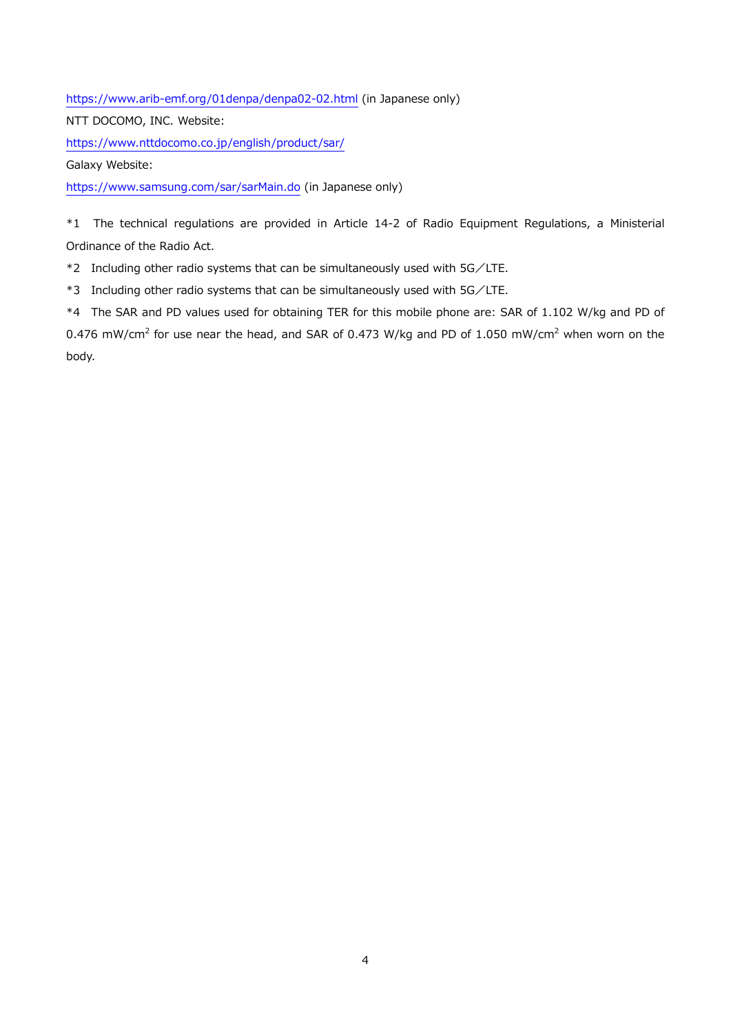<https://www.arib-emf.org/01denpa/denpa02-02.html> (in Japanese only)

NTT DOCOMO, INC. Website:

<https://www.nttdocomo.co.jp/english/product/sar/>

Galaxy Website:

<https://www.samsung.com/sar/sarMain.do> (in Japanese only)

\*1 The technical regulations are provided in Article 14-2 of Radio Equipment Regulations, a Ministerial Ordinance of the Radio Act.

\*2 Including other radio systems that can be simultaneously used with 5G/LTE.

\*3 Including other radio systems that can be simultaneously used with 5G/LTE.

\*4 The SAR and PD values used for obtaining TER for this mobile phone are: SAR of 1.102 W/kg and PD of 0.476 mW/cm<sup>2</sup> for use near the head, and SAR of 0.473 W/kg and PD of 1.050 mW/cm<sup>2</sup> when worn on the body.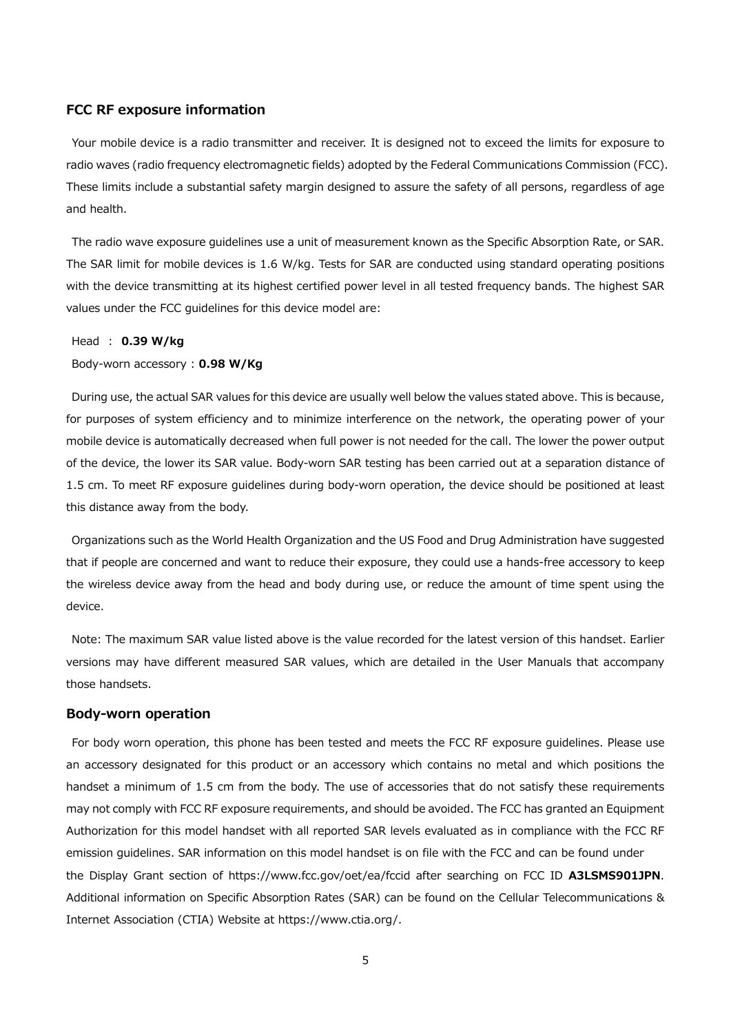### **FCC RF exposure information**

Your mobile device is a radio transmitter and receiver. It is designed not to exceed the limits for exposure to radio waves (radio frequency electromagnetic fields) adopted by the Federal Communications Commission (FCC). These limits include a substantial safety margin designed to assure the safety of all persons, regardless of age and health.

The radio wave exposure guidelines use a unit of measurement known as the Specific Absorption Rate, or SAR. The SAR limit for mobile devices is 1.6 W/kg. Tests for SAR are conducted using standard operating positions with the device transmitting at its highest certified power level in all tested frequency bands. The highest SAR values under the FCC guidelines for this device model are:

#### Head : **0.39 W/kg**

#### Body-worn accessory : **0.98 W/Kg**

During use, the actual SAR values for this device are usually well below the values stated above. This is because, for purposes of system efficiency and to minimize interference on the network, the operating power of your mobile device is automatically decreased when full power is not needed for the call. The lower the power output of the device, the lower its SAR value. Body-worn SAR testing has been carried out at a separation distance of 1.5 cm. To meet RF exposure guidelines during body-worn operation, the device should be positioned at least this distance away from the body.

Organizations such as the World Health Organization and the US Food and Drug Administration have suggested that if people are concerned and want to reduce their exposure, they could use a hands-free accessory to keep the wireless device away from the head and body during use, or reduce the amount of time spent using the device.

Note: The maximum SAR value listed above is the value recorded for the latest version of this handset. Earlier versions may have different measured SAR values, which are detailed in the User Manuals that accompany those handsets.

#### **Body-worn operation**

For body worn operation, this phone has been tested and meets the FCC RF exposure guidelines. Please use an accessory designated for this product or an accessory which contains no metal and which positions the handset a minimum of 1.5 cm from the body. The use of accessories that do not satisfy these requirements may not comply with FCC RF exposure requirements, and should be avoided. The FCC has granted an Equipment Authorization for this model handset with all reported SAR levels evaluated as in compliance with the FCC RF emission guidelines. SAR information on this model handset is on file with the FCC and can be found under the Display Grant section of https://www.fcc.gov/oet/ea/fccid after searching on FCC ID **A3LSMS901JPN**. Additional information on Specific Absorption Rates (SAR) can be found on the Cellular Telecommunications & Internet Association (CTIA) Website at https://www.ctia.org/.